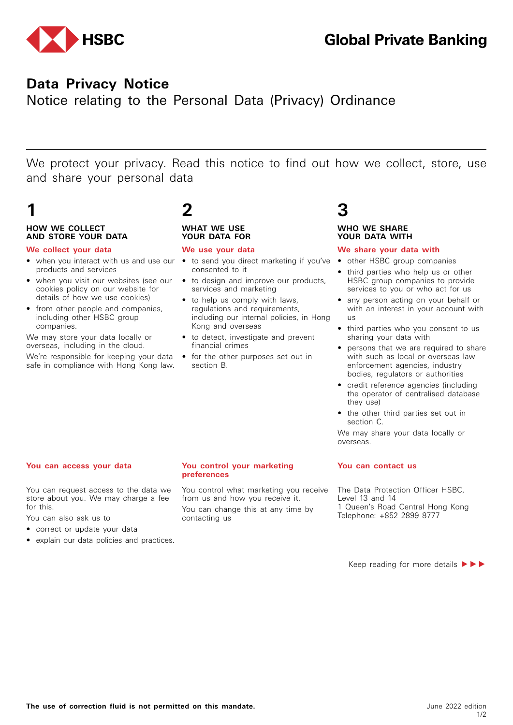

## **Data Privacy Notice**

Notice relating to the Personal Data (Privacy) Ordinance

We protect your privacy. Read this notice to find out how we collect, store, use and share your personal data

### **HOW WE COLLECT AND STORE YOUR DATA**

### **We collect your data**

- when you interact with us and use our to send you direct marketing if you've products and services
- when you visit our websites (see our cookies policy on our website for details of how we use cookies)
- from other people and companies, including other HSBC group companies.

We may store your data locally or overseas, including in the cloud.

We're responsible for keeping your data safe in compliance with Hong Kong law.

## **1 2 3**

### **WHAT WE USE YOUR DATA FOR**

### **We use your data**

- consented to it
- to design and improve our products, services and marketing
- to help us comply with laws, regulations and requirements, including our internal policies, in Hong Kong and overseas
- to detect, investigate and prevent financial crimes
- for the other purposes set out in section B.

#### **WHO WE SHARE YOUR DATA WITH**

### **We share your data with**

- other HSBC group companies
- third parties who help us or other HSBC group companies to provide services to you or who act for us
- any person acting on your behalf or with an interest in your account with us
- third parties who you consent to us sharing your data with
- persons that we are required to share with such as local or overseas law enforcement agencies, industry bodies, regulators or authorities
- credit reference agencies (including the operator of centralised database they use)
- the other third parties set out in section C.

We may share your data locally or overseas.

You can request access to the data we store about you. We may charge a fee for this.

You can also ask us to

- correct or update your data
- explain our data policies and practices.

#### **You can access your data You control your marketing preferences**

You control what marketing you receive from us and how you receive it. You can change this at any time by contacting us

#### **You can contact us**

The Data Protection Officer HSBC, Level 13 and 14 1 Queen's Road Central Hong Kong Telephone: +852 2899 8777

Keep reading for more details  $\blacktriangleright \blacktriangleright \blacktriangleright$